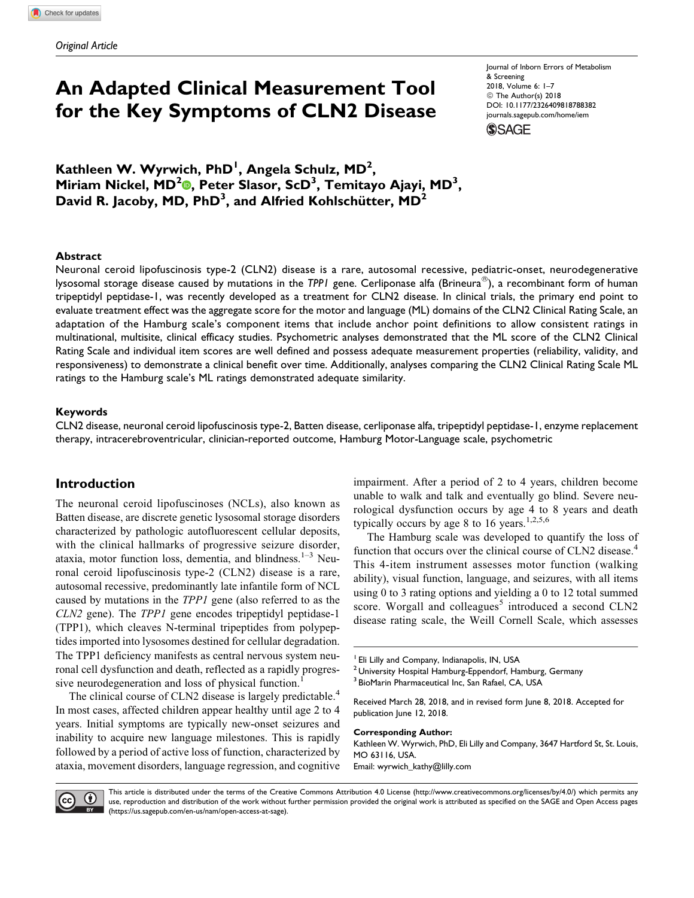# An Adapted Clinical Measurement Tool for the Key Symptoms of CLN2 Disease

Journal of Inborn Errors of Metabolism & Screening 2018, Volume 6: 1–7 © The Author(s) 2018 [DOI: 10.1177/2326409818788382](https://doi.org/10.1177/2326409818788382) [journals.sagepub.com/home/iem](http://journals.sagepub.com/home/iem) **SSAGE** 

Kathleen W. Wyrwich, PhD<sup>1</sup>, Angela Schulz, MD<sup>2</sup>, Miriam Nickel, MD<sup>[2](http://orcid.org/0000-0002-1870-1142)</sup>®, Peter Slasor, ScD<sup>3</sup>, Temitayo Ajayi, MD<sup>3</sup>, David R. Jacoby, MD, PhD<sup>3</sup>, and Alfried Kohlschütter, MD<sup>2</sup>

#### Abstract

Neuronal ceroid lipofuscinosis type-2 (CLN2) disease is a rare, autosomal recessive, pediatric-onset, neurodegenerative lysosomal storage disease caused by mutations in the TPP1 gene. Cerliponase alfa (Brineura®), a recombinant form of human tripeptidyl peptidase-1, was recently developed as a treatment for CLN2 disease. In clinical trials, the primary end point to evaluate treatment effect was the aggregate score for the motor and language (ML) domains of the CLN2 Clinical Rating Scale, an adaptation of the Hamburg scale's component items that include anchor point definitions to allow consistent ratings in multinational, multisite, clinical efficacy studies. Psychometric analyses demonstrated that the ML score of the CLN2 Clinical Rating Scale and individual item scores are well defined and possess adequate measurement properties (reliability, validity, and responsiveness) to demonstrate a clinical benefit over time. Additionally, analyses comparing the CLN2 Clinical Rating Scale ML ratings to the Hamburg scale's ML ratings demonstrated adequate similarity.

#### Keywords

CLN2 disease, neuronal ceroid lipofuscinosis type-2, Batten disease, cerliponase alfa, tripeptidyl peptidase-1, enzyme replacement therapy, intracerebroventricular, clinician-reported outcome, Hamburg Motor-Language scale, psychometric

## Introduction

The neuronal ceroid lipofuscinoses (NCLs), also known as Batten disease, are discrete genetic lysosomal storage disorders characterized by pathologic autofluorescent cellular deposits, with the clinical hallmarks of progressive seizure disorder, ataxia, motor function loss, dementia, and blindness. $1-3$  Neuronal ceroid lipofuscinosis type-2 (CLN2) disease is a rare, autosomal recessive, predominantly late infantile form of NCL caused by mutations in the TPP1 gene (also referred to as the CLN2 gene). The TPP1 gene encodes tripeptidyl peptidase-1 (TPP1), which cleaves N-terminal tripeptides from polypeptides imported into lysosomes destined for cellular degradation. The TPP1 deficiency manifests as central nervous system neuronal cell dysfunction and death, reflected as a rapidly progressive neurodegeneration and loss of physical function.<sup>1</sup>

The clinical course of CLN2 disease is largely predictable.<sup>4</sup> In most cases, affected children appear healthy until age 2 to 4 years. Initial symptoms are typically new-onset seizures and inability to acquire new language milestones. This is rapidly followed by a period of active loss of function, characterized by ataxia, movement disorders, language regression, and cognitive

impairment. After a period of 2 to 4 years, children become unable to walk and talk and eventually go blind. Severe neurological dysfunction occurs by age 4 to 8 years and death typically occurs by age 8 to 16 years.<sup>1,2,5,6</sup>

The Hamburg scale was developed to quantify the loss of function that occurs over the clinical course of CLN2 disease.<sup>4</sup> This 4-item instrument assesses motor function (walking ability), visual function, language, and seizures, with all items using 0 to 3 rating options and yielding a 0 to 12 total summed score. Worgall and colleagues<sup>5</sup> introduced a second  $CLN2$ disease rating scale, the Weill Cornell Scale, which assesses

Corresponding Author: Kathleen W. Wyrwich, PhD, Eli Lilly and Company, 3647 Hartford St, St. Louis, MO 63116, USA.

Email: [wyrwich\\_kathy@lilly.com](mailto:wyrwich_kathy@lilly.com)



This article is distributed under the terms of the Creative Commons Attribution 4.0 License (<http://www.creativecommons.org/licenses/by/4.0/>) which permits any use, reproduction and distribution of the work without further permission provided the original work is attributed as specified on the SAGE and Open Access pages [\(https://us.sagepub.com/en-us/nam/open-access-at-sage\)](https://us.sagepub.com/en-us/nam/open-access-at-sage).

<sup>&</sup>lt;sup>1</sup> Eli Lilly and Company, Indianapolis, IN, USA

<sup>&</sup>lt;sup>2</sup> University Hospital Hamburg-Eppendorf, Hamburg, Germany

<sup>&</sup>lt;sup>3</sup> BioMarin Pharmaceutical Inc, San Rafael, CA, USA

Received March 28, 2018, and in revised form June 8, 2018. Accepted for publication June 12, 2018.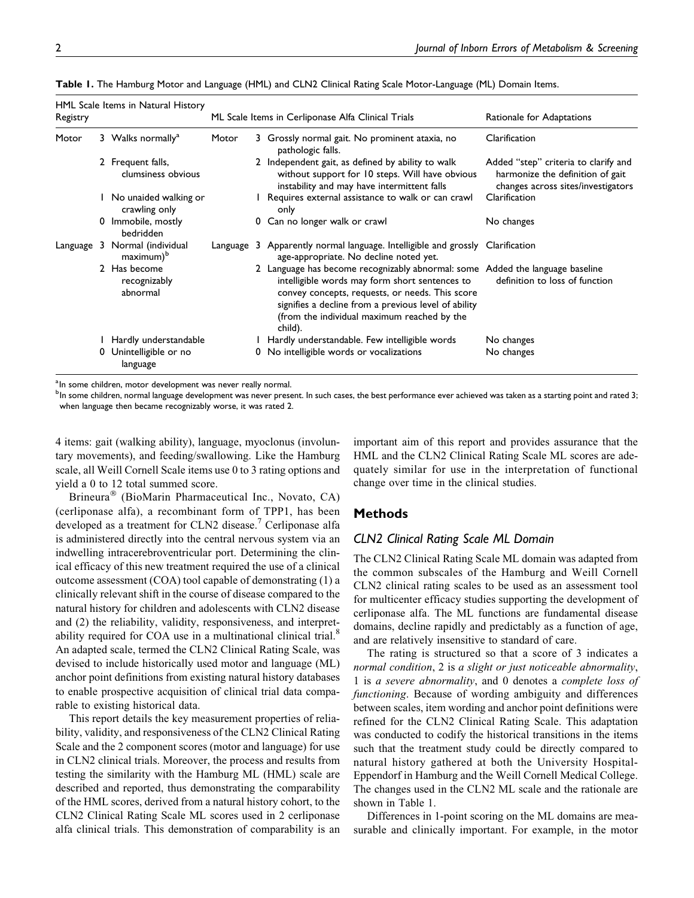| HML Scale Items in Natural History<br>Registry |   |                                          | ML Scale Items in Cerliponase Alfa Clinical Trials |  |                                                                                                                                                                                                                                                                                                      | Rationale for Adaptations                                                                                      |  |
|------------------------------------------------|---|------------------------------------------|----------------------------------------------------|--|------------------------------------------------------------------------------------------------------------------------------------------------------------------------------------------------------------------------------------------------------------------------------------------------------|----------------------------------------------------------------------------------------------------------------|--|
| Motor                                          |   | 3 Walks normally <sup>a</sup>            | Motor                                              |  | 3 Grossly normal gait. No prominent ataxia, no<br>pathologic falls.                                                                                                                                                                                                                                  | Clarification                                                                                                  |  |
|                                                |   | 2 Frequent falls,<br>clumsiness obvious  |                                                    |  | 2 Independent gait, as defined by ability to walk<br>without support for 10 steps. Will have obvious<br>instability and may have intermittent falls                                                                                                                                                  | Added "step" criteria to clarify and<br>harmonize the definition of gait<br>changes across sites/investigators |  |
|                                                |   | No unaided walking or<br>crawling only   |                                                    |  | I Requires external assistance to walk or can crawl<br>only                                                                                                                                                                                                                                          | Clarification                                                                                                  |  |
|                                                |   | 0 Immobile, mostly<br>bedridden          |                                                    |  | 0 Can no longer walk or crawl                                                                                                                                                                                                                                                                        | No changes                                                                                                     |  |
| Language                                       | 3 | Normal (individual<br>$maximum)^b$       |                                                    |  | Language 3 Apparently normal language. Intelligible and grossly Clarification<br>age-appropriate. No decline noted yet.                                                                                                                                                                              |                                                                                                                |  |
|                                                |   | 2 Has become<br>recognizably<br>abnormal |                                                    |  | 2 Language has become recognizably abnormal: some Added the language baseline<br>intelligible words may form short sentences to<br>convey concepts, requests, or needs. This score<br>signifies a decline from a previous level of ability<br>(from the individual maximum reached by the<br>child). | definition to loss of function                                                                                 |  |
|                                                |   | Hardly understandable                    |                                                    |  | Hardly understandable. Few intelligible words                                                                                                                                                                                                                                                        | No changes                                                                                                     |  |
|                                                |   | 0 Unintelligible or no<br>language       |                                                    |  | 0 No intelligible words or vocalizations                                                                                                                                                                                                                                                             | No changes                                                                                                     |  |

Table 1. The Hamburg Motor and Language (HML) and CLN2 Clinical Rating Scale Motor-Language (ML) Domain Items.

<sup>a</sup> In some children, motor development was never really normal.

<sup>b</sup>In some children, normal language development was never present. In such cases, the best performance ever achieved was taken as a starting point and rated 3; when language then became recognizably worse, it was rated 2.

4 items: gait (walking ability), language, myoclonus (involuntary movements), and feeding/swallowing. Like the Hamburg scale, all Weill Cornell Scale items use 0 to 3 rating options and yield a 0 to 12 total summed score.

Brineura® (BioMarin Pharmaceutical Inc., Novato, CA) (cerliponase alfa), a recombinant form of TPP1, has been developed as a treatment for CLN2 disease.<sup>7</sup> Cerliponase alfa is administered directly into the central nervous system via an indwelling intracerebroventricular port. Determining the clinical efficacy of this new treatment required the use of a clinical outcome assessment (COA) tool capable of demonstrating (1) a clinically relevant shift in the course of disease compared to the natural history for children and adolescents with CLN2 disease and (2) the reliability, validity, responsiveness, and interpretability required for COA use in a multinational clinical trial.<sup>8</sup> An adapted scale, termed the CLN2 Clinical Rating Scale, was devised to include historically used motor and language (ML) anchor point definitions from existing natural history databases to enable prospective acquisition of clinical trial data comparable to existing historical data.

This report details the key measurement properties of reliability, validity, and responsiveness of the CLN2 Clinical Rating Scale and the 2 component scores (motor and language) for use in CLN2 clinical trials. Moreover, the process and results from testing the similarity with the Hamburg ML (HML) scale are described and reported, thus demonstrating the comparability of the HML scores, derived from a natural history cohort, to the CLN2 Clinical Rating Scale ML scores used in 2 cerliponase alfa clinical trials. This demonstration of comparability is an important aim of this report and provides assurance that the HML and the CLN2 Clinical Rating Scale ML scores are adequately similar for use in the interpretation of functional change over time in the clinical studies.

# Methods

## CLN2 Clinical Rating Scale ML Domain

The CLN2 Clinical Rating Scale ML domain was adapted from the common subscales of the Hamburg and Weill Cornell CLN2 clinical rating scales to be used as an assessment tool for multicenter efficacy studies supporting the development of cerliponase alfa. The ML functions are fundamental disease domains, decline rapidly and predictably as a function of age, and are relatively insensitive to standard of care.

The rating is structured so that a score of 3 indicates a normal condition, 2 is a slight or just noticeable abnormality, 1 is a severe abnormality, and 0 denotes a complete loss of functioning. Because of wording ambiguity and differences between scales, item wording and anchor point definitions were refined for the CLN2 Clinical Rating Scale. This adaptation was conducted to codify the historical transitions in the items such that the treatment study could be directly compared to natural history gathered at both the University Hospital-Eppendorf in Hamburg and the Weill Cornell Medical College. The changes used in the CLN2 ML scale and the rationale are shown in Table 1.

Differences in 1-point scoring on the ML domains are measurable and clinically important. For example, in the motor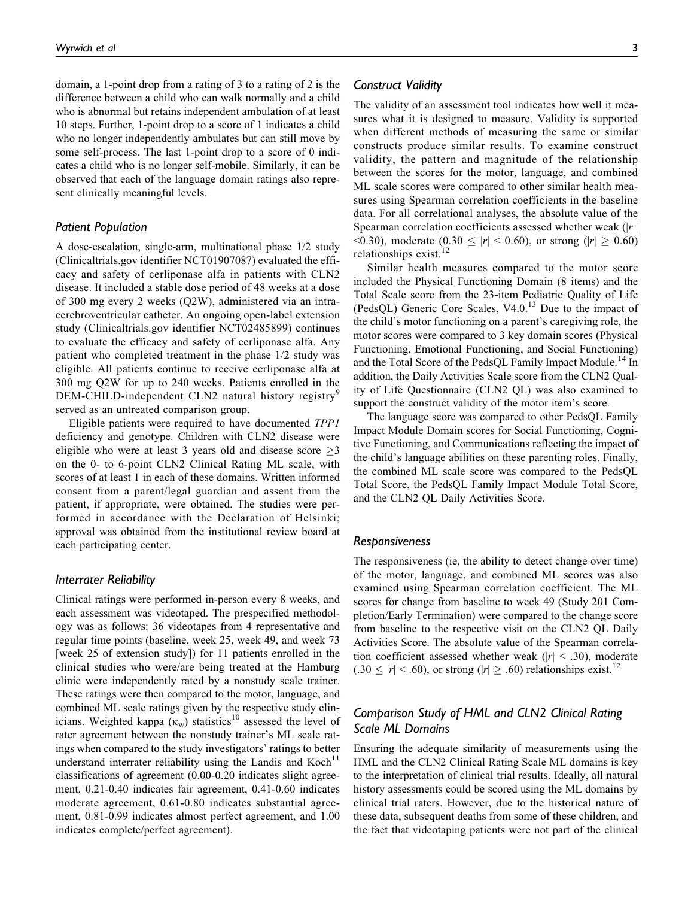domain, a 1-point drop from a rating of 3 to a rating of 2 is the difference between a child who can walk normally and a child who is abnormal but retains independent ambulation of at least 10 steps. Further, 1-point drop to a score of 1 indicates a child who no longer independently ambulates but can still move by some self-process. The last 1-point drop to a score of 0 indicates a child who is no longer self-mobile. Similarly, it can be observed that each of the language domain ratings also represent clinically meaningful levels.

#### Patient Population

A dose-escalation, single-arm, multinational phase 1/2 study (Clinicaltrials.gov identifier NCT01907087) evaluated the efficacy and safety of cerliponase alfa in patients with CLN2 disease. It included a stable dose period of 48 weeks at a dose of 300 mg every 2 weeks (Q2W), administered via an intracerebroventricular catheter. An ongoing open-label extension study (Clinicaltrials.gov identifier NCT02485899) continues to evaluate the efficacy and safety of cerliponase alfa. Any patient who completed treatment in the phase 1/2 study was eligible. All patients continue to receive cerliponase alfa at 300 mg Q2W for up to 240 weeks. Patients enrolled in the DEM-CHILD-independent CLN2 natural history registry<sup>9</sup> served as an untreated comparison group.

Eligible patients were required to have documented TPP1 deficiency and genotype. Children with CLN2 disease were eligible who were at least 3 years old and disease score  $\geq$ 3 on the 0- to 6-point CLN2 Clinical Rating ML scale, with scores of at least 1 in each of these domains. Written informed consent from a parent/legal guardian and assent from the patient, if appropriate, were obtained. The studies were performed in accordance with the Declaration of Helsinki; approval was obtained from the institutional review board at each participating center.

## Interrater Reliability

Clinical ratings were performed in-person every 8 weeks, and each assessment was videotaped. The prespecified methodology was as follows: 36 videotapes from 4 representative and regular time points (baseline, week 25, week 49, and week 73 [week 25 of extension study]) for 11 patients enrolled in the clinical studies who were/are being treated at the Hamburg clinic were independently rated by a nonstudy scale trainer. These ratings were then compared to the motor, language, and combined ML scale ratings given by the respective study clinicians. Weighted kappa  $(\kappa_w)$  statistics<sup>10</sup> assessed the level of rater agreement between the nonstudy trainer's ML scale ratings when compared to the study investigators' ratings to better understand interrater reliability using the Landis and  $Koch$ <sup>11</sup> classifications of agreement (0.00-0.20 indicates slight agreement, 0.21-0.40 indicates fair agreement, 0.41-0.60 indicates moderate agreement, 0.61-0.80 indicates substantial agreement, 0.81-0.99 indicates almost perfect agreement, and 1.00 indicates complete/perfect agreement).

#### Construct Validity

The validity of an assessment tool indicates how well it measures what it is designed to measure. Validity is supported when different methods of measuring the same or similar constructs produce similar results. To examine construct validity, the pattern and magnitude of the relationship between the scores for the motor, language, and combined ML scale scores were compared to other similar health measures using Spearman correlation coefficients in the baseline data. For all correlational analyses, the absolute value of the Spearman correlation coefficients assessed whether weak  $(|r|)$  $\leq$  0.30), moderate (0.30  $\leq$  |r|  $\leq$  0.60), or strong (|r|  $\geq$  0.60) relationships exist.<sup>12</sup>

Similar health measures compared to the motor score included the Physical Functioning Domain (8 items) and the Total Scale score from the 23-item Pediatric Quality of Life (PedsQL) Generic Core Scales,  $V4.0<sup>13</sup>$  Due to the impact of the child's motor functioning on a parent's caregiving role, the motor scores were compared to 3 key domain scores (Physical Functioning, Emotional Functioning, and Social Functioning) and the Total Score of the PedsQL Family Impact Module.<sup>14</sup> In addition, the Daily Activities Scale score from the CLN2 Quality of Life Questionnaire (CLN2 QL) was also examined to support the construct validity of the motor item's score.

The language score was compared to other PedsQL Family Impact Module Domain scores for Social Functioning, Cognitive Functioning, and Communications reflecting the impact of the child's language abilities on these parenting roles. Finally, the combined ML scale score was compared to the PedsQL Total Score, the PedsQL Family Impact Module Total Score, and the CLN2 QL Daily Activities Score.

#### Responsiveness

The responsiveness (ie, the ability to detect change over time) of the motor, language, and combined ML scores was also examined using Spearman correlation coefficient. The ML scores for change from baseline to week 49 (Study 201 Completion/Early Termination) were compared to the change score from baseline to the respective visit on the CLN2 QL Daily Activities Score. The absolute value of the Spearman correlation coefficient assessed whether weak ( $|r| < .30$ ), moderate  $(.30 \le |r| < .60)$ , or strong (|r|  $\ge .60$ ) relationships exist.<sup>12</sup>

# Comparison Study of HML and CLN2 Clinical Rating Scale ML Domains

Ensuring the adequate similarity of measurements using the HML and the CLN2 Clinical Rating Scale ML domains is key to the interpretation of clinical trial results. Ideally, all natural history assessments could be scored using the ML domains by clinical trial raters. However, due to the historical nature of these data, subsequent deaths from some of these children, and the fact that videotaping patients were not part of the clinical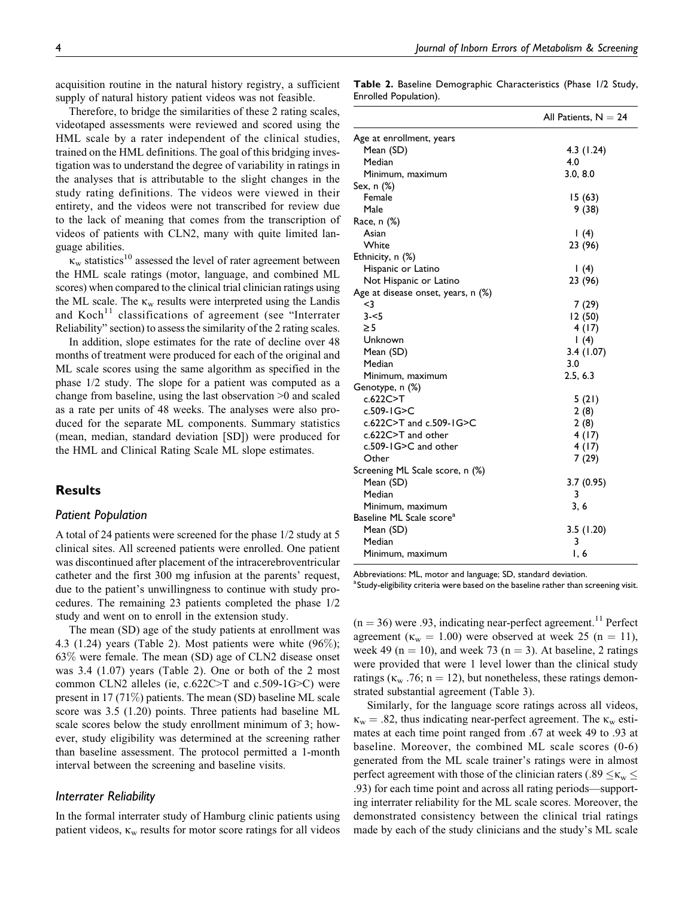acquisition routine in the natural history registry, a sufficient supply of natural history patient videos was not feasible.

Therefore, to bridge the similarities of these 2 rating scales, videotaped assessments were reviewed and scored using the HML scale by a rater independent of the clinical studies, trained on the HML definitions. The goal of this bridging investigation was to understand the degree of variability in ratings in the analyses that is attributable to the slight changes in the study rating definitions. The videos were viewed in their entirety, and the videos were not transcribed for review due to the lack of meaning that comes from the transcription of videos of patients with CLN2, many with quite limited language abilities.

 $\kappa_{\rm w}$  statistics<sup>10</sup> assessed the level of rater agreement between the HML scale ratings (motor, language, and combined ML scores) when compared to the clinical trial clinician ratings using the ML scale. The  $\kappa_{w}$  results were interpreted using the Landis and  $Koch<sup>11</sup>$  classifications of agreement (see "Interrater Reliability" section) to assess the similarity of the 2 rating scales.

In addition, slope estimates for the rate of decline over 48 months of treatment were produced for each of the original and ML scale scores using the same algorithm as specified in the phase 1/2 study. The slope for a patient was computed as a change from baseline, using the last observation >0 and scaled as a rate per units of 48 weeks. The analyses were also produced for the separate ML components. Summary statistics (mean, median, standard deviation [SD]) were produced for the HML and Clinical Rating Scale ML slope estimates.

# Results

#### Patient Population

A total of 24 patients were screened for the phase 1/2 study at 5 clinical sites. All screened patients were enrolled. One patient was discontinued after placement of the intracerebroventricular catheter and the first 300 mg infusion at the parents' request, due to the patient's unwillingness to continue with study procedures. The remaining 23 patients completed the phase 1/2 study and went on to enroll in the extension study.

The mean (SD) age of the study patients at enrollment was 4.3 (1.24) years (Table 2). Most patients were white (96%); 63% were female. The mean (SD) age of CLN2 disease onset was 3.4 (1.07) years (Table 2). One or both of the 2 most common CLN2 alleles (ie, c.622C>T and c.509-1G>C) were present in 17 (71%) patients. The mean (SD) baseline ML scale score was 3.5 (1.20) points. Three patients had baseline ML scale scores below the study enrollment minimum of 3; however, study eligibility was determined at the screening rather than baseline assessment. The protocol permitted a 1-month interval between the screening and baseline visits.

## Interrater Reliability

In the formal interrater study of Hamburg clinic patients using patient videos,  $\kappa_{w}$  results for motor score ratings for all videos

Table 2. Baseline Demographic Characteristics (Phase 1/2 Study, Enrolled Population).

|                                      | All Patients, $N = 24$ |
|--------------------------------------|------------------------|
| Age at enrollment, years             |                        |
| Mean (SD)                            | 4.3 (1.24)             |
| Median                               | 4.0                    |
| Minimum, maximum                     | 3.0, 8.0               |
| Sex, n (%)                           |                        |
| Female                               | 15 (63)                |
| Male                                 | 9 (38)                 |
| Race, n (%)                          |                        |
| Asian                                | 1(4)                   |
| White                                | 23 (96)                |
| Ethnicity, n (%)                     |                        |
| Hispanic or Latino                   | 1(4)                   |
| Not Hispanic or Latino               | 23 (96)                |
| Age at disease onset, years, n (%)   |                        |
| $3$                                  | 7 (29)                 |
| $3 - 5$                              | 12 (50)                |
| $\geq$ 5                             | 4(17)                  |
| Unknown                              | 1(4)                   |
| Mean (SD)                            | 3.4(1.07)              |
| Median                               | 3.0                    |
| Minimum, maximum                     | 2.5, 6.3               |
| Genotype, n (%)                      |                        |
| c.622C>T                             | 5(21)                  |
| c.509-1G>C                           | 2(8)                   |
| c.622C>T and c.509-1G>C              | 2(8)                   |
| $c.622C > T$ and other               | 4 (17)                 |
| c.509-1G>C and other                 | 4 (17)                 |
| Other                                | 7 (29)                 |
| Screening ML Scale score, n (%)      |                        |
| Mean (SD)                            | 3.7(0.95)              |
| Median                               | 3                      |
| Minimum, maximum                     | 3, 6                   |
| Baseline ML Scale score <sup>a</sup> |                        |
| Mean (SD)                            | 3.5 (1.20)             |
| Median                               | 3                      |
| Minimum, maximum                     | I, 6                   |

Abbreviations: ML, motor and language; SD, standard deviation.

a<br>Study-eligibility criteria were based on the baseline rather than screening visit.

 $(n = 36)$  were .93, indicating near-perfect agreement.<sup>11</sup> Perfect agreement ( $\kappa_w = 1.00$ ) were observed at week 25 (n = 11), week 49 (n = 10), and week 73 (n = 3). At baseline, 2 ratings were provided that were 1 level lower than the clinical study ratings ( $\kappa_{\rm w}$  .76; n = 12), but nonetheless, these ratings demonstrated substantial agreement (Table 3).

Similarly, for the language score ratings across all videos,  $\kappa_w = .82$ , thus indicating near-perfect agreement. The  $\kappa_w$  estimates at each time point ranged from .67 at week 49 to .93 at baseline. Moreover, the combined ML scale scores (0-6) generated from the ML scale trainer's ratings were in almost perfect agreement with those of the clinician raters (.89  $\lt$   $\kappa_{w}$   $\lt$ .93) for each time point and across all rating periods—supporting interrater reliability for the ML scale scores. Moreover, the demonstrated consistency between the clinical trial ratings made by each of the study clinicians and the study's ML scale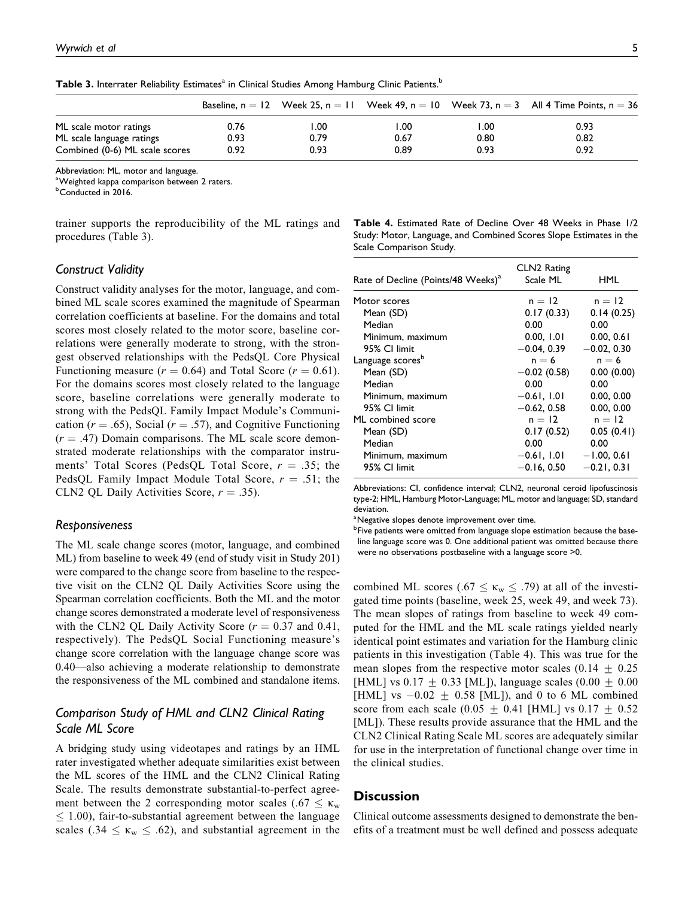|                                |      |      |      |       | Baseline, $n = 12$ Week 25, $n = 11$ Week 49, $n = 10$ Week 73, $n = 3$ All 4 Time Points, $n = 36$ |
|--------------------------------|------|------|------|-------|-----------------------------------------------------------------------------------------------------|
| ML scale motor ratings         | 0.76 | I.OO | 1.00 | . .00 | 0.93                                                                                                |
| ML scale language ratings      | 0.93 | 0.79 | 0.67 | 0.80  | 0.82                                                                                                |
| Combined (0-6) ML scale scores | 0.92 | 0.93 | 0.89 | 0.93  | 0.92                                                                                                |

Table 3. Interrater Reliability Estimates<sup>a</sup> in Clinical Studies Among Hamburg Clinic Patients.<sup>b</sup>

Abbreviation: ML, motor and language.

<sup>a</sup> Weighted kappa comparison between 2 raters.

<sup>b</sup>Conducted in 2016.

trainer supports the reproducibility of the ML ratings and procedures (Table 3).

## Table 4. Estimated Rate of Decline Over 48 Weeks in Phase 1/2 Study: Motor, Language, and Combined Scores Slope Estimates in the Scale Comparison Study.

## Construct Validity

Construct validity analyses for the motor, language, and combined ML scale scores examined the magnitude of Spearman correlation coefficients at baseline. For the domains and total scores most closely related to the motor score, baseline correlations were generally moderate to strong, with the strongest observed relationships with the PedsQL Core Physical Functioning measure ( $r = 0.64$ ) and Total Score ( $r = 0.61$ ). For the domains scores most closely related to the language score, baseline correlations were generally moderate to strong with the PedsQL Family Impact Module's Communication ( $r = .65$ ), Social ( $r = .57$ ), and Cognitive Functioning  $(r = .47)$  Domain comparisons. The ML scale score demonstrated moderate relationships with the comparator instruments' Total Scores (PedsQL Total Score,  $r = .35$ ; the PedsQL Family Impact Module Total Score,  $r = .51$ ; the CLN2 QL Daily Activities Score,  $r = .35$ ).

#### Responsiveness

The ML scale change scores (motor, language, and combined ML) from baseline to week 49 (end of study visit in Study 201) were compared to the change score from baseline to the respective visit on the CLN2 QL Daily Activities Score using the Spearman correlation coefficients. Both the ML and the motor change scores demonstrated a moderate level of responsiveness with the CLN2 QL Daily Activity Score ( $r = 0.37$  and 0.41, respectively). The PedsQL Social Functioning measure's change score correlation with the language change score was 0.40—also achieving a moderate relationship to demonstrate the responsiveness of the ML combined and standalone items.

# Comparison Study of HML and CLN2 Clinical Rating Scale ML Score

A bridging study using videotapes and ratings by an HML rater investigated whether adequate similarities exist between the ML scores of the HML and the CLN2 Clinical Rating Scale. The results demonstrate substantial-to-perfect agreement between the 2 corresponding motor scales (.67  $\leq \kappa_{w}$ )  $\leq$  1.00), fair-to-substantial agreement between the language scales (.34  $\leq$   $\kappa_{w} \leq$  .62), and substantial agreement in the

| Rate of Decline (Points/48 Weeks) <sup>a</sup> | CLN2 Rating<br>Scale ML | HML           |
|------------------------------------------------|-------------------------|---------------|
| Motor scores                                   | $n = 12$                | $n = 12$      |
| Mean (SD)                                      | 0.17(0.33)              | 0.14(0.25)    |
| Median                                         | 0.00                    | 0.00          |
| Minimum, maximum                               | 0.00, 1.01              | 0.00, 0.61    |
| 95% CI limit                                   | $-0.04, 0.39$           | $-0.02, 0.30$ |
| Language scores <sup>b</sup>                   | $n = 6$                 | $n = 6$       |
| Mean (SD)                                      | $-0.02$ (0.58)          | 0.00(0.00)    |
| Median                                         | 0.00                    | 0.00          |
| Minimum, maximum                               | $-0.61, 1.01$           | 0.00, 0.00    |
| 95% CI limit                                   | $-0.62, 0.58$           | 0.00, 0.00    |
| ML combined score                              | $n = 12$                | $n = 12$      |
| Mean (SD)                                      | 0.17(0.52)              | 0.05(0.41)    |
| Median                                         | 0.00                    | 0.00          |
| Minimum, maximum                               | $-0.61, 1.01$           | $-1.00, 0.61$ |
| 95% CI limit                                   | $-0.16, 0.50$           | $-0.21, 0.31$ |

Abbreviations: CI, confidence interval; CLN2, neuronal ceroid lipofuscinosis type-2; HML, Hamburg Motor-Language; ML, motor and language; SD, standard deviation.

<sup>a</sup>Negative slopes denote improvement over time.

<sup>b</sup>Five patients were omitted from language slope estimation because the baseline language score was 0. One additional patient was omitted because there were no observations postbaseline with a language score >0.

combined ML scores (.67  $\leq$   $\kappa_{\rm w} \leq$  .79) at all of the investigated time points (baseline, week 25, week 49, and week 73). The mean slopes of ratings from baseline to week 49 computed for the HML and the ML scale ratings yielded nearly identical point estimates and variation for the Hamburg clinic patients in this investigation (Table 4). This was true for the mean slopes from the respective motor scales  $(0.14 \pm 0.25)$ [HML] vs  $0.17 + 0.33$  [ML]), language scales  $(0.00 + 0.00)$ [HML] vs  $-0.02 \pm 0.58$  [ML]), and 0 to 6 ML combined score from each scale  $(0.05 + 0.41$  [HML] vs  $0.17 + 0.52$ [ML]). These results provide assurance that the HML and the CLN2 Clinical Rating Scale ML scores are adequately similar for use in the interpretation of functional change over time in the clinical studies.

## **Discussion**

Clinical outcome assessments designed to demonstrate the benefits of a treatment must be well defined and possess adequate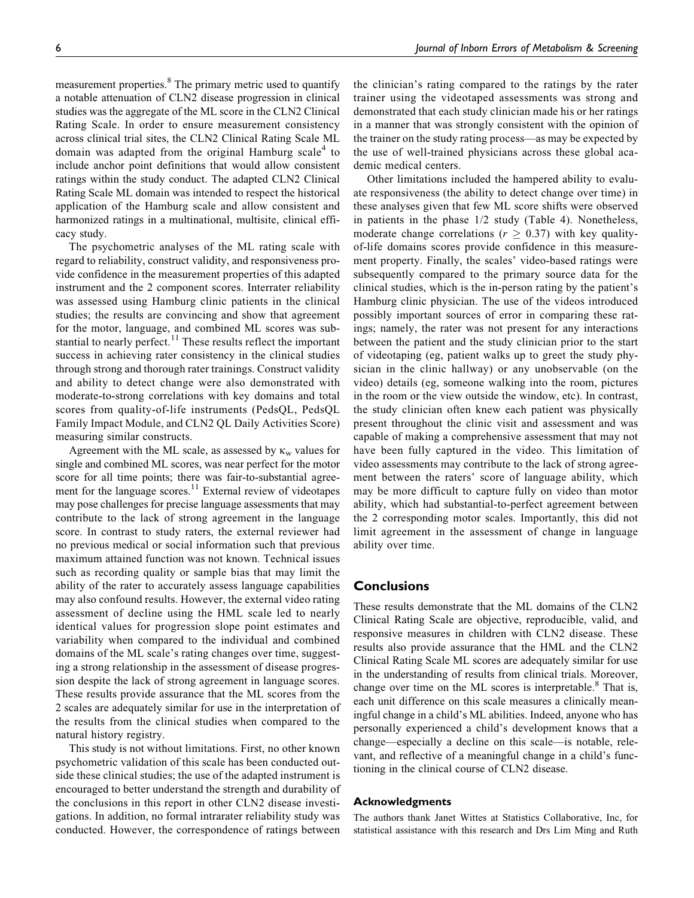measurement properties.<sup>8</sup> The primary metric used to quantify a notable attenuation of CLN2 disease progression in clinical studies was the aggregate of the ML score in the CLN2 Clinical Rating Scale. In order to ensure measurement consistency across clinical trial sites, the CLN2 Clinical Rating Scale ML domain was adapted from the original Hamburg scale<sup>4</sup> to include anchor point definitions that would allow consistent ratings within the study conduct. The adapted CLN2 Clinical Rating Scale ML domain was intended to respect the historical application of the Hamburg scale and allow consistent and harmonized ratings in a multinational, multisite, clinical efficacy study.

The psychometric analyses of the ML rating scale with regard to reliability, construct validity, and responsiveness provide confidence in the measurement properties of this adapted instrument and the 2 component scores. Interrater reliability was assessed using Hamburg clinic patients in the clinical studies; the results are convincing and show that agreement for the motor, language, and combined ML scores was substantial to nearly perfect. $11$  These results reflect the important success in achieving rater consistency in the clinical studies through strong and thorough rater trainings. Construct validity and ability to detect change were also demonstrated with moderate-to-strong correlations with key domains and total scores from quality-of-life instruments (PedsQL, PedsQL Family Impact Module, and CLN2 QL Daily Activities Score) measuring similar constructs.

Agreement with the ML scale, as assessed by  $\kappa_w$  values for single and combined ML scores, was near perfect for the motor score for all time points; there was fair-to-substantial agreement for the language scores.<sup>11</sup> External review of videotapes may pose challenges for precise language assessments that may contribute to the lack of strong agreement in the language score. In contrast to study raters, the external reviewer had no previous medical or social information such that previous maximum attained function was not known. Technical issues such as recording quality or sample bias that may limit the ability of the rater to accurately assess language capabilities may also confound results. However, the external video rating assessment of decline using the HML scale led to nearly identical values for progression slope point estimates and variability when compared to the individual and combined domains of the ML scale's rating changes over time, suggesting a strong relationship in the assessment of disease progression despite the lack of strong agreement in language scores. These results provide assurance that the ML scores from the 2 scales are adequately similar for use in the interpretation of the results from the clinical studies when compared to the natural history registry.

This study is not without limitations. First, no other known psychometric validation of this scale has been conducted outside these clinical studies; the use of the adapted instrument is encouraged to better understand the strength and durability of the conclusions in this report in other CLN2 disease investigations. In addition, no formal intrarater reliability study was conducted. However, the correspondence of ratings between

the clinician's rating compared to the ratings by the rater trainer using the videotaped assessments was strong and demonstrated that each study clinician made his or her ratings in a manner that was strongly consistent with the opinion of the trainer on the study rating process—as may be expected by the use of well-trained physicians across these global academic medical centers.

Other limitations included the hampered ability to evaluate responsiveness (the ability to detect change over time) in these analyses given that few ML score shifts were observed in patients in the phase 1/2 study (Table 4). Nonetheless, moderate change correlations ( $r \geq 0.37$ ) with key qualityof-life domains scores provide confidence in this measurement property. Finally, the scales' video-based ratings were subsequently compared to the primary source data for the clinical studies, which is the in-person rating by the patient's Hamburg clinic physician. The use of the videos introduced possibly important sources of error in comparing these ratings; namely, the rater was not present for any interactions between the patient and the study clinician prior to the start of videotaping (eg, patient walks up to greet the study physician in the clinic hallway) or any unobservable (on the video) details (eg, someone walking into the room, pictures in the room or the view outside the window, etc). In contrast, the study clinician often knew each patient was physically present throughout the clinic visit and assessment and was capable of making a comprehensive assessment that may not have been fully captured in the video. This limitation of video assessments may contribute to the lack of strong agreement between the raters' score of language ability, which may be more difficult to capture fully on video than motor ability, which had substantial-to-perfect agreement between the 2 corresponding motor scales. Importantly, this did not limit agreement in the assessment of change in language ability over time.

# **Conclusions**

These results demonstrate that the ML domains of the CLN2 Clinical Rating Scale are objective, reproducible, valid, and responsive measures in children with CLN2 disease. These results also provide assurance that the HML and the CLN2 Clinical Rating Scale ML scores are adequately similar for use in the understanding of results from clinical trials. Moreover, change over time on the ML scores is interpretable.<sup>8</sup> That is, each unit difference on this scale measures a clinically meaningful change in a child's ML abilities. Indeed, anyone who has personally experienced a child's development knows that a change—especially a decline on this scale—is notable, relevant, and reflective of a meaningful change in a child's functioning in the clinical course of CLN2 disease.

#### Acknowledgments

The authors thank Janet Wittes at Statistics Collaborative, Inc, for statistical assistance with this research and Drs Lim Ming and Ruth